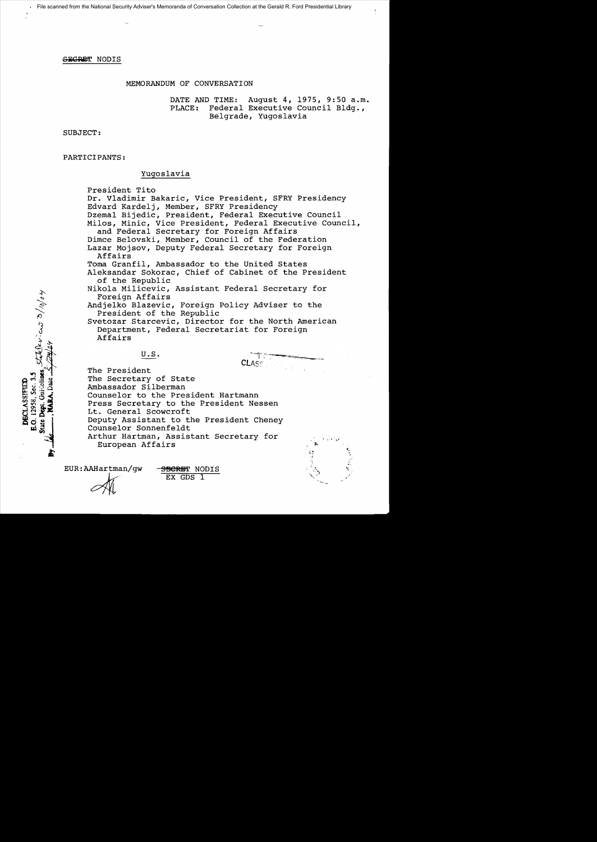## MEMORANDUM OF CONVERSATION

DATE AND TIME: August 4, 1975, 9:50 a.m.<br>PLACE: Federal Executive Council Bldg., Federal Executive Council Bldg., Belgrade, Yugoslavia

SUBJECT:

PARTICIPANTS:

# Yugoslavia

President Tito

Dr. Vladimir Bakaric, Vice President, SFRY Presidency Edvard Karde1j, Member, SFRY Presidency Dzema1 Bijedic, President, Federal Executive Council Milos, Minic, Vice President, Federal Executive Council, and Federal Secretary for Foreign Affairs Dimce Be1ovski, Member, Council of the Federation Lazar Mojsov, Deputy Federal Secretary for Foreign Affairs Toma Granfi1, Ambassador to the United States A1eksandar Sokorac, Chief of Cabinet of the President of the Republic Niko1a Mi1icevic, Assistant Federal Secretary for Foreign Affairs Andje1ko B1azevic, Foreign Policy Adviser to the President of the Republic Svetozar Starcevic, Director for the North American Department, Federal Secretariat for Foreign Affairs U.S.

The President The Secretary of State Ambassador Silberman Counselor to the President Hartmann Press Secretary to the President Nessen Lt. General Scowcroft Deputy Assistant to the President Cheney Counselor Sonnenfe1dt Arthur Hartman, Assistant Secretary for European Affairs

EUR:AAHartman/gw - SBERET NODIS

 $EX$  GDS  $1$ 

Stellerian 3/10/04 Guidelines O. 12958, Sec. 3.5 DECLASSIFIED State<sup>1</sup>

r,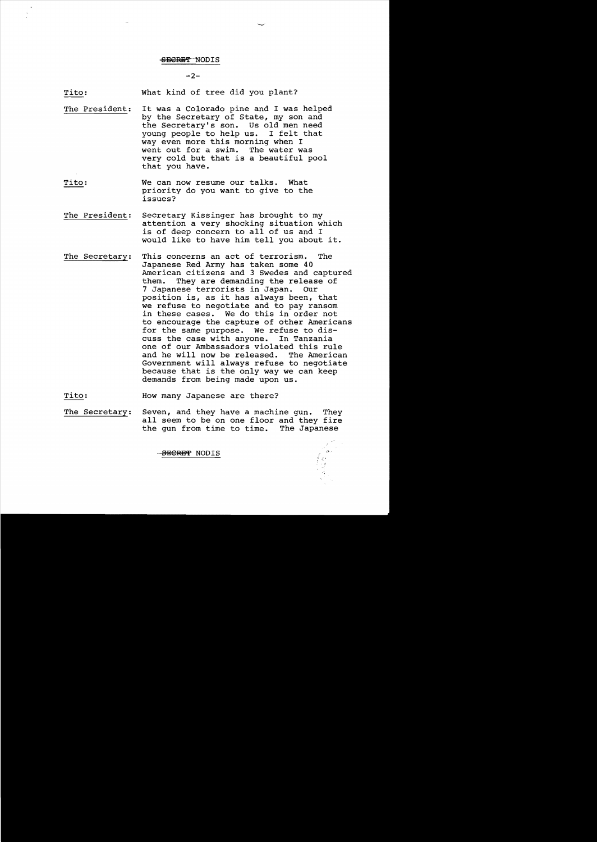$-2-$ 

Tito: What kind of tree did you plant?

- The President: It was a Colorado pine and I was helped by the Secretary of State, my son and the Secretary's son. Us old men need<br>voung people to help us. I felt that young people to help us. way even more this morning when I went out for a swim. The water was very cold but that is a beautiful pool that you have.
- Tito: We can now resume our talks. What priority do you want to give to the issues?
- The President: Secretary Kissinger has brought to my attention a very shocking situation which is of deep concern to all of us and I would like to have him tell you about it.
- The Secretary: This concerns an act of terrorism. The Japanese Red Army has taken some 40 American citizens and 3 Swedes and captured<br>them. They are demanding the release of They are demanding the release of 7 Japanese terrorists in Japan. Our position is, as it has always been, that we refuse to negotiate and to pay ransom in these cases. We do this in order not to encourage the capture of other Americans for the same purpose. We refuse to dis-<br>cuss the case with anyone. In Tanzania cuss the case with anyone. one of our Ambassadors violated this rule and he will now be released. The American Government will always refuse to negotiate because that is the only way we can keep demands from being made upon us.

Tito: How many Japanese are there?

The Secretary: Seven, and they have a machine gun. They all seem to be on one floor and they fire<br>the qun from time to time. The Japanese the gun from time to time.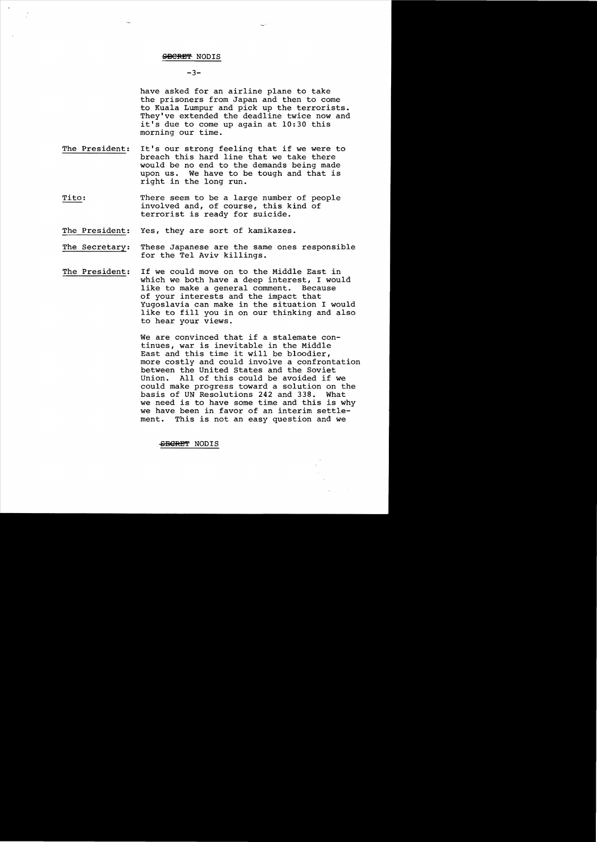## $-3-$

have asked for an airline plane to take the prisoners from Japan and then to come to Kuala Lumpur and pick up the terrorists. They've extended the deadline twice now and it's due to come up again at 10:30 this morning our time.

- The President: It's our strong feeling that if we were to breach this hard line that we take there would be no end to the demands being made upon us. We have to be tough and that is right in the long run.
- Tito: There seem to be a large number of people involved and, of course, this kind of terrorist is ready for suicide.
- The President: Yes, they are sort of kamikazes.
- The Secretary: These Japanese are the same ones responsible for the Tel Aviv killings.
- The President: If we could move on to the Middle East in which we both have a deep interest, I would<br>like to make a general comment. Because like to make a general comment. of your interests and the impact that Yugoslavia can make in the situation I would like to fill you in on our thinking and also to hear your views.

We are convinced that if a stalemate continues, war is inevitable in the Middle East and this time it will be bloodier, more costly and could involve a confrontation between the United states and the Soviet Union. All of this could be avoided if we could make progress toward a solution on the basis of UN Resolutions 242 and 338. What we need is to have some time and this is why we have been in favor of an interim settle-<br>ment. This is not an easy question and we This is not an easy question and we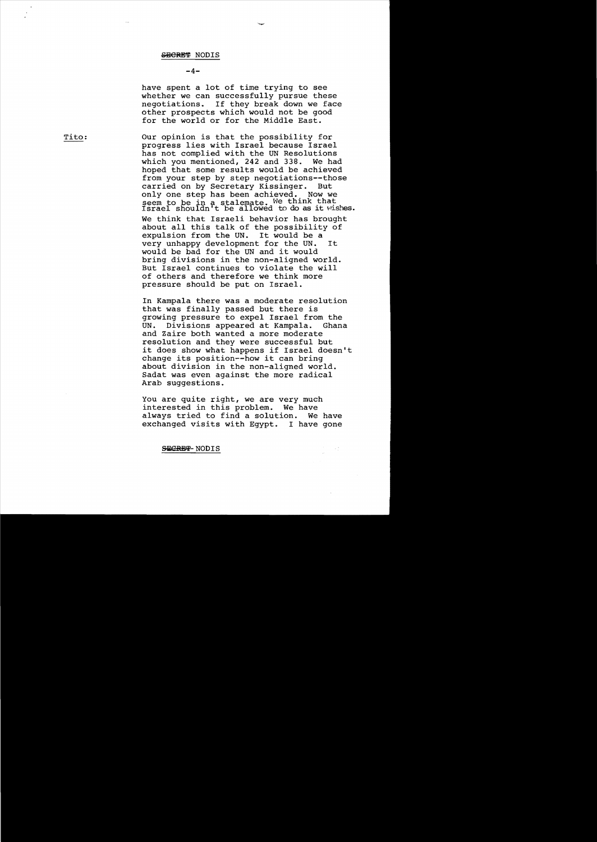#### $-4-$

have spent a lot of time trying to see whether we can successfully pursue these negotiations. If they break down we face other prospects which would not be good for the world or for the Middle East.

Tito: Our opinion is that the possibility for progress lies with Israel because Israel has not complied with the UN Resolutions<br>which you mentioned, 242 and 338. We had which you mentioned,  $242$  and  $338$ . hoped that some results would be achieved from your step by step negotiations--those carried on by Secretary Kissinger. But only one step has been achieved. Now we  $s$ eem to be in a stalemate. We think that seem to be in a staiemate. We chink that<br>Israel shouldn't be allowed to do as it wishes. We think that Israeli behavior has brought about all this talk of the possibility of<br>expulsion from the UN. It would be a expulsion from the UN. very unhappy development for the UN. It would be bad for the UN and it would bring divisions in the non-aligned world. But Israel continues to violate the will of others and therefore we think more pressure should be put on Israel.

In Kampala there was a moderate resolution that was finally passed but there is growing pressure to expel Israel from the Divisions appeared at Kampala. Ghana and Zaire both wanted a more moderate resolution and they were successful but it does show what happens if Israel doesn't change its position--how it can bring about division in the non-aligned world. Sadat was even against the more radical Arab suggestions.

You are quite right, we are very much interested in this problem. We have always tried to find a solution. We have exchanged visits with Egypt. I have gone

 $\sim$  1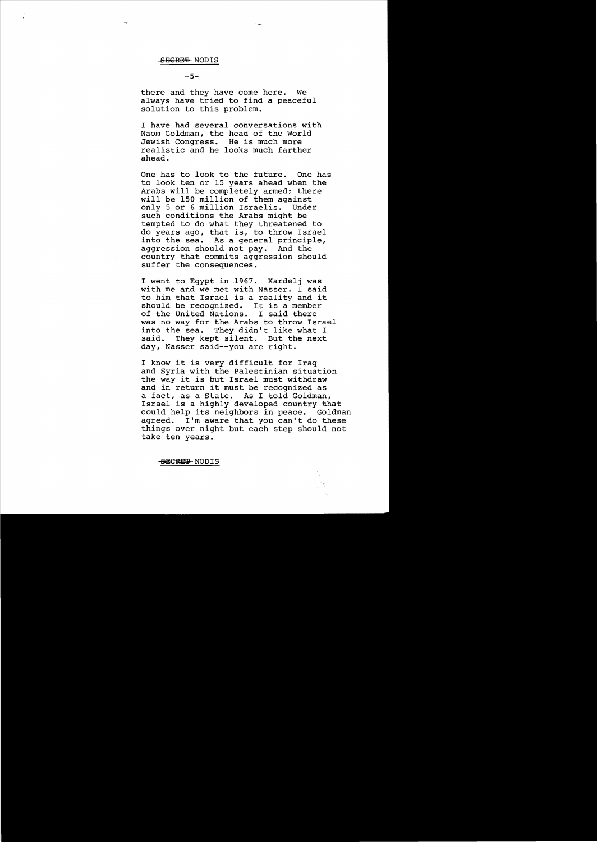#### $-5-$

there and they have come here. We always have tried to find a peaceful solution to this problem.

I have had several conversations with Naom Goldman, the head of the World Jewish Congress. He is much more realistic and he looks much farther ahead.

One has to look to the future. One has to look ten or 15 years ahead when the Arabs will be completely armed; there will be 150 million of them against only 5 or 6 million Israelis. Under such conditions the Arabs might be tempted to do what they threatened to do years ago, that is, to throw Israel into the sea. As a general principle, aggression should not pay. And the country that commits aggression should suffer the consequences.

I went to Egypt in 1967. Kardelj was with me and we met with Nasser. I said to him that Israel is a reality and it should be recognized. It is a member<br>of the United Nations. I said there of the United Nations. was no way for the Arabs to throw Israel into the sea. They didn't like what I<br>said. They kept silent. But the next They kept silent. day, Nasser said--you are right.

I know it is very difficult for Iraq and Syria with the Palestinian situation the way it is but Israel must withdraw and in return it must be recognized as a fact, as a State. As I told Goldman, Israel is a highly developed country that could help its neighbors in peace. Goldman agreed. I'm aware that you can't do these things over night but each step should not take ten years.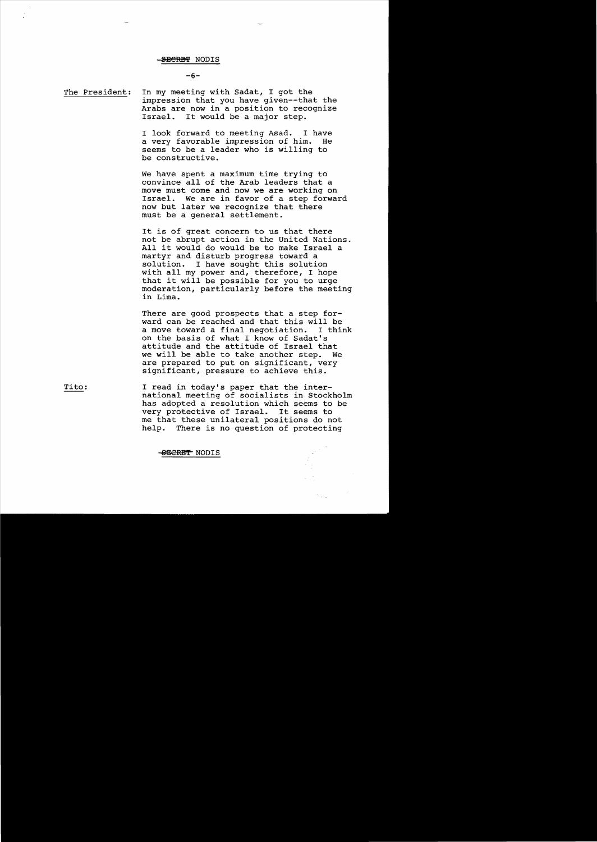$-6-$ 

The President: In my meeting with Sadat, I got the impression that you have given--that the Arabs are now in a position to recognize Israel. It would be a major step.

> I look forward to meeting Asad. I have<br>a very favorable impression of him. He a very favorable impression of him. seems to be a leader who is willing to be constructive.

We have spent a maximum time trying to convince all of the Arab leaders that a move must come and now we are working on Israel. We are in favor of a step forward now but later we recognize that there must be a general settlement.

It is of great concern to us that there not be abrupt action in the United Nations. All it would do would be to make Israel a martyr and disturb progress toward a<br>solution. I have sought this soluti-I have sought this solution with all my power and, therefore, I hope that it will be possible for you to urge moderation, particularly before the meeting in Lima.

There are good prospects that a step forward can be reached and that this will be<br>a move toward a final negotiation. I think a move toward a final negotiation. on the basis of what I know of Sadat's attitude and the attitude of Israel that we will be able to take another step. are prepared to put on significant, very significant, pressure to achieve this.

Tito: I read in today's paper that the international meeting of socialists in Stockholm has adopted a resolution which seems to be very protective of Israel. It seems to me that these unilateral positions do not<br>help. There is no question of protecting There is no question of protecting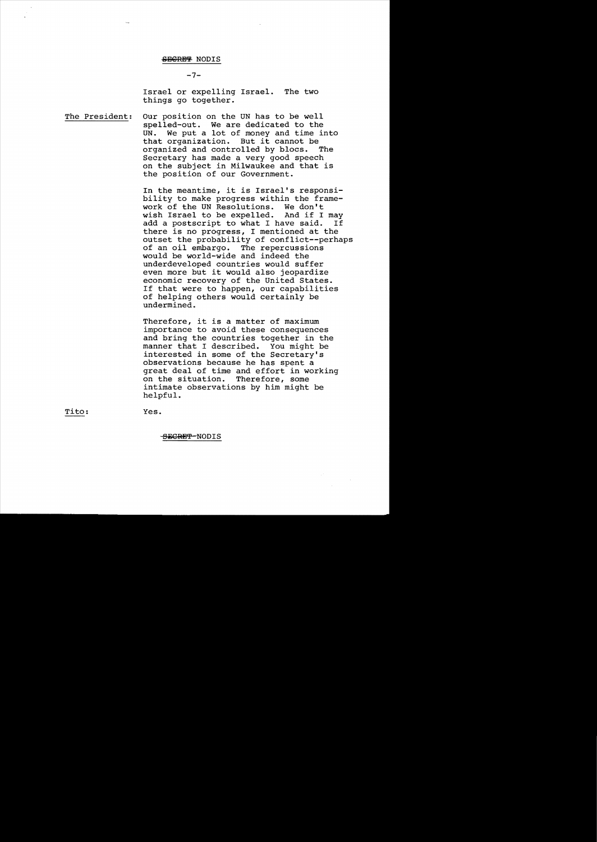$-7-$ 

Israel or expelling Israel. The two things go together.

The President: Our position on the UN has to be well spelled-out. We are dedicated to the<br>UN. We put a lot of money and time in We put a lot of money and time into that organization. But it cannot be organized and controlled by blocs. Secretary has made a very good speech on the subject in Milwaukee and that is the position of our Government.

> In the meantime, it is Israel's responsibility to make progress within the frame-<br>work of the UN Resolutions. We don't work of the UN Resolutions. We don't<br>wish Israel to be expelled. And if I may wish Israel to be expelled. And if I may<br>add a postscript to what I have said. If add a postscript to what I have said. there is no progress, I mentioned at the outset the probability of conflict--perhaps of an oil embargo. The repercussions would be world-wide and indeed the underdeveloped countries would suffer even more but it would also jeopardize economic recovery of the United States. If that were to happen, our capabilities of helping others would certainly be undermined.

Therefore, it is a matter of maximum importance to avoid these consequences and bring the countries together in the<br>manner that I described. You might be manner that I described. interested in some of the Secretary's observations because he has spent a great deal of time and effort in working<br>on the situation. Therefore, some on the situation. intimate observations by him might be helpful.

Tito:

Yes.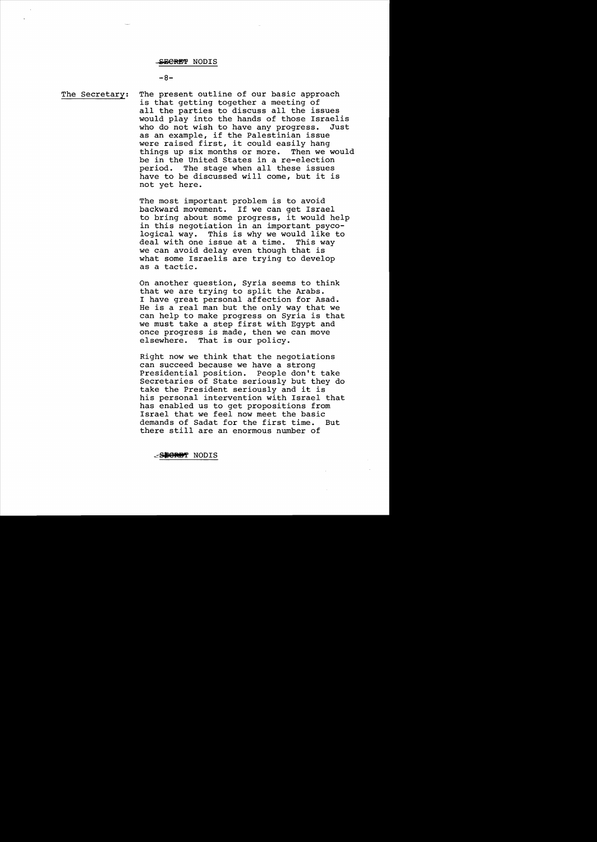#### $-8-$

The Secretary: The present outline of our basic approach is that getting together a meeting of all the parties to discuss all the issues would play into the hands of those Israelis<br>who do not wish to have any progress. Just who do not wish to have any progress. as an example, if the Palestinian issue were raised first, it could easily hang<br>things up six months or more. Then we would things up six months or more. be in the United States in a re-election period. The stage when all these issues have to be discussed will come, but it is not yet here.

> The most important problem is to avoid backward movement. If we can get Israel to bring about some progress, it would help in this negotiation in an important psycological way. This is why we would like to deal with one issue at a time. This way we can avoid delay even though that is what some Israelis are trying to develop as a tactic.

On another question, Syria seems to think that we are trying to split the Arabs. I have great personal affection for Asad. He is a real man but the only way that we can help to make progress on Syria is that we must take a step first with Egypt and once progress is made, then we can move<br>elsewhere. That is our policy. That is our policy.

Right now we think that the negotiations can succeed because we have a strong<br>Presidential position. People don't take Presidential position. Secretaries of State seriously but they do take the President seriously and it is his personal intervention with Israel that has enabled us to get propositions from Israel that we feel now meet the basic demands of Sadat for the first time. But there still are an enormous number of

SPORET NODIS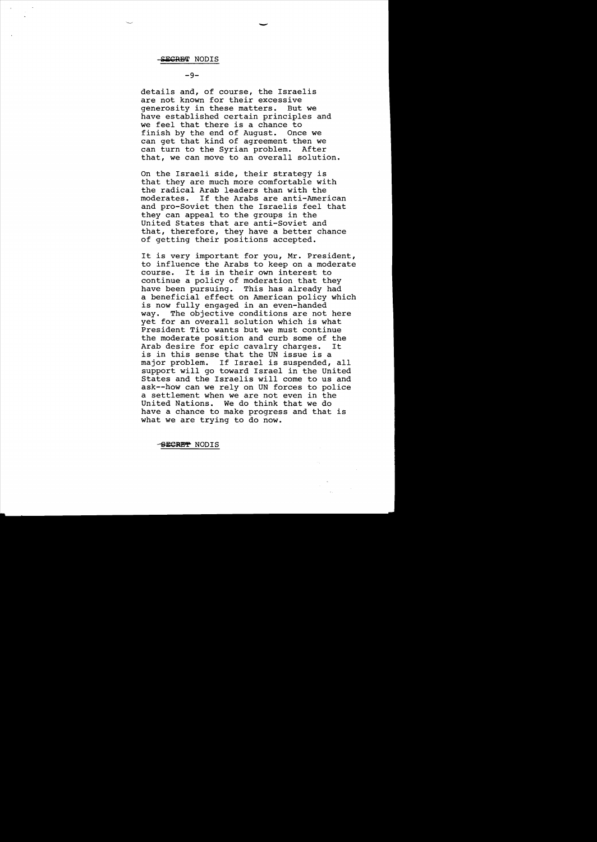**-9**

details and, of course, the Israelis are not known for their excessive generosity in these matters. But we have established certain principles and we feel that there is a chance to<br>finish by the end of August. Once we finish by the end of August. can get that kind of agreement then we can turn to the Syrian problem. After that, we can move to an overall solution.

On the Israeli side, their strategy is that they are much more comfortable with the radical Arab leaders than with the<br>moderates. If the Arabs are anti-Amer If the Arabs are anti-American and pro-Soviet then the Israelis feel that they can appeal to the groups in the United States that are anti-Soviet and that, therefore, they have a better chance of getting their positions accepted.

It is very important for you, Mr. President, to influence the Arabs to keep on a moderate course. It is in their own interest to continue a policy of moderation that they<br>have been pursuing. This has already had This has already had a beneficial effect on American policy which is now fully engaged in an even-handed way. The objective conditions are not here yet for an overall solution which is what President Tito wants but we must continue the moderate position and curb some of the<br>Arab desire for epic cavalry charges. It Arab desire for epic cavalry charges. is in this sense that the UN issue is a major problem. If Israel is suspended, all support will go toward Israel in the United States and the Israelis will come to us and ask--how can we rely on UN forces to police a settlement when we are not even in the United Nations. We do think that we do have a chance to make progress and that is what we are trying to do now.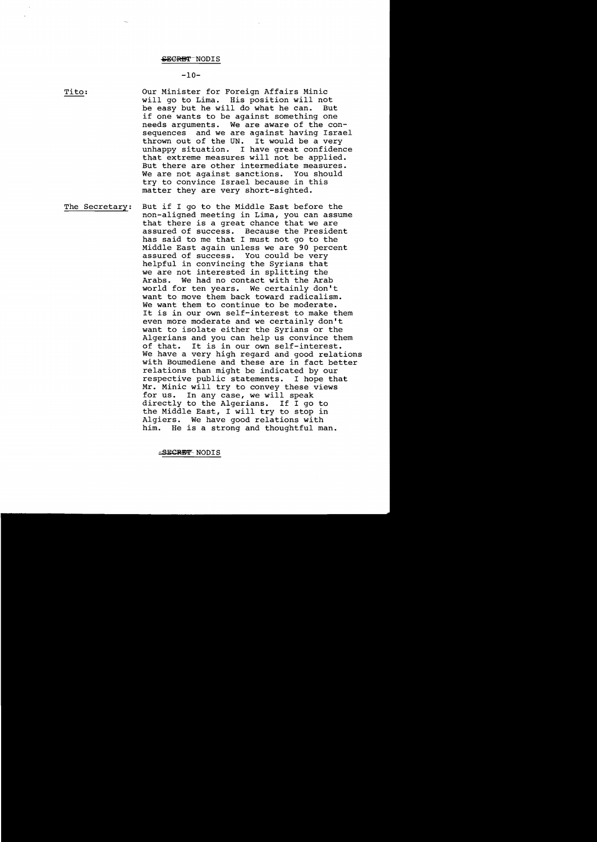## $-10-$

Tito:

Our Minister for Foreign Affairs Minic will go to Lima. His position will not<br>be easy but he will do what he can. But be easy but he will do what he can. if one wants to be against something one<br>needs arquments. We are aware of the co We are aware of the  $con$ sequences and we are against having Israel<br>thrown out of the UN. It would be a very thrown out of the UN. unhappy situation. I have great confidence that extreme measures will not be applied. But there are other intermediate measures.<br>We are not against sanctions. You should We are not against sanctions. try to convince Israel because in this matter they are very short-sighted.

The Secretary: But if I go to the Middle East before the non-aligned meeting in Lima, you can assume that there is a great chance that we are assured of success. Because the President has said to me that I must not go to the Middle East again unless we are 90 percent assured of success. helpful in convincing the Syrians that we are not interested in splitting the Arabs. We had no contact with the Arab world for ten years. We certainly don't want to move them back toward radicalism. We want them to continue to be moderate. It is in our own self-interest to make them even more moderate and we certainly don't want to isolate either the Syrians or the Algerians and you can help us convince them of that. It is in our own self-interest. We have a very high regard and good relations with Boumediene and these are in fact better relations than might be indicated by our respective public statements. I hope that Mr. Minic will try to convey these views<br>for us. In any case, we will speak In any case, we will speak directly to the Algerians. If I go to the Middle East, I will try to stop in Algiers. We have good relations with him. He is a strong and thoughtful man.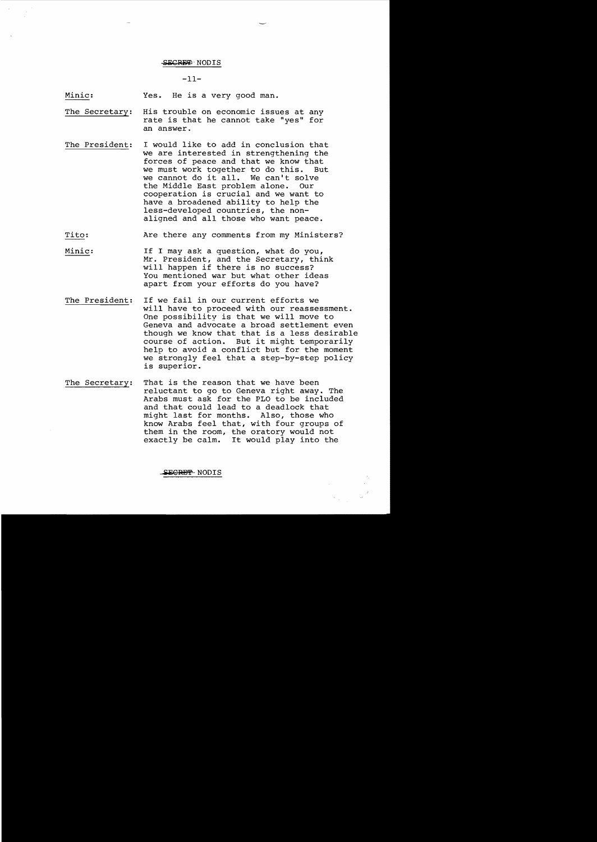#### $-11-$

Minic: Yes. He is a very good man.

- The Secretary: His trouble on economic issues at any rate is that he cannot take "yes" for an answer.
- The President: I would like to add in conclusion that we are interested in strengthening the forces of peace and that we know that we must work together to do this. we cannot do it all. We can't solve<br>the Middle East problem alone. Our the Middle East problem alone. cooperation is crucial and we want to have a broadened ability to help the less-developed countries, the nonaligned and all those who want peace.
- Tito: Are there any comments from my Ministers?
- Minic: If I may ask a question, what do you, Mr. President, and the Secretary, think will happen if there is no success? You mentioned war but what other ideas apart from your efforts do you have?
- The President: If we fail in our current efforts we will have to proceed with our reassessment. One possibility is that we will move to Geneva and advocate a broad settlement even though we know that that is a less desirable course of action. But it might temporarily help to avoid a conflict but for the moment we strongly feel that a step-by-step policy is superior.
- The Secretary: That is the reason that we have been reluctant to go to Geneva right away. The Arabs must ask for the PLO to be included and that could lead to a deadlock that might last for months. Also, those who know Arabs feel that, with four groups of them in the room, the oratory would not exactly be calm. It would play into the

#### S<del>ecret</del> NODIS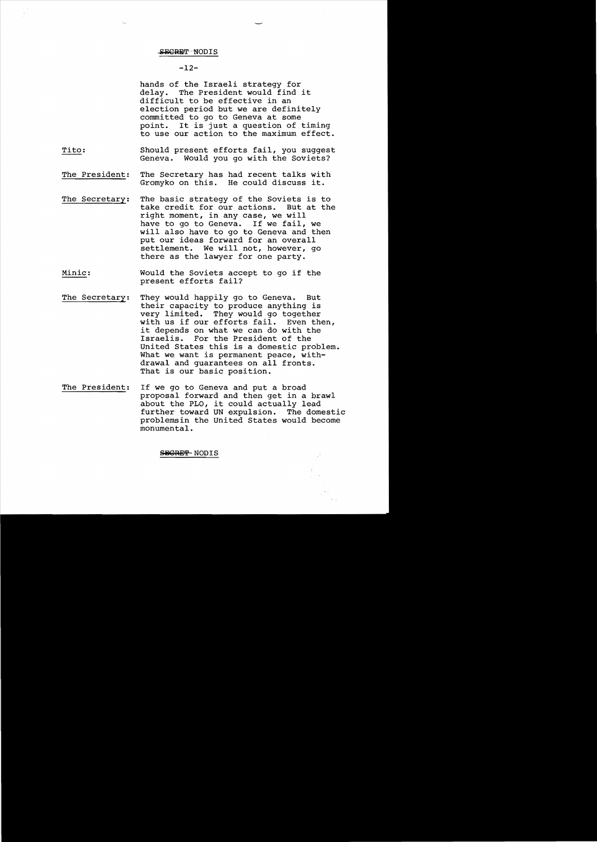## $-12-$

hands of the Israeli strategy for<br>delay. The President would find The President would find it difficult to be effective in an election period but we are definitely committed to go to Geneva at some point. It is just a question of timing to use our action to the maximum effect.

- Tito: Should present efforts fail, you suggest Geneva. Would you go with the Soviets?
- The President: The Secretary has had recent talks with Gromyko on this. He could discuss it.
- The Secretary: The basic strategy of the Soviets is to take credit for our actions. But at the right moment, in any case, we will have to go to Geneva. If we fail, we will also have to go to Geneva and then put our ideas forward for an overall settlement. We will not, however, go there as the lawyer for one party.
- Minic: Would the Soviets accept to go if the present efforts fail?
- The Secretary: They would happily go to Geneva. But their capacity to produce anything is very limited. They would go together with us if our efforts fail. Even then, it depends on what we can do with the Israelis. For the President of the United States this is a domestic problem. What we want is permanent peace, withdrawal and guarantees on all fronts. That is our basic position.
- The President: If we go to Geneva and put a broad proposal forward and then get in a brawl about the PLO, it could actually lead further toward UN expulsion. The domestic problemsin the United States would become monumental.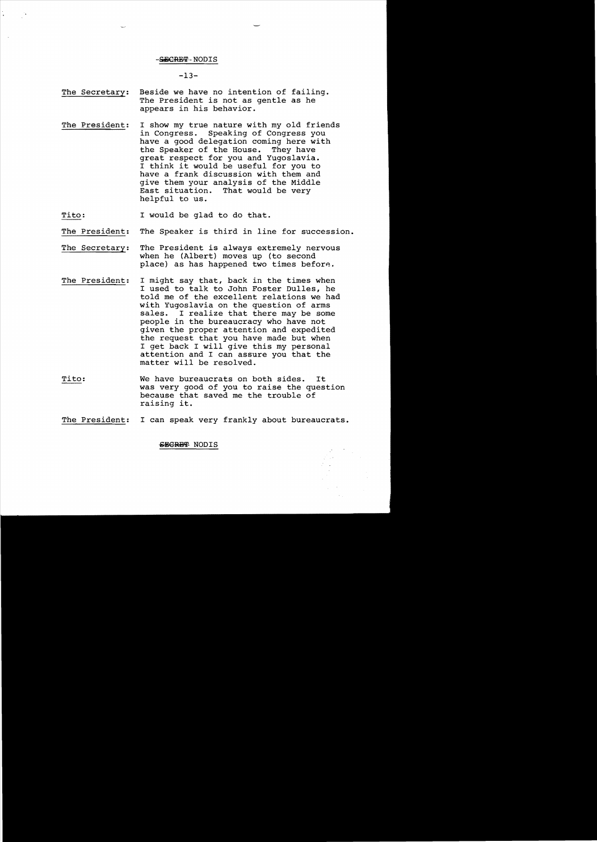$-13-$ 

- The Secretary: Beside we have no intention of failing. The President is not as gentle as he appears in his behavior.
- The President: I show my true nature with my old friends in Congress. Speaking of Congress you have a good delegation coming here with<br>the Speaker of the House. They have the Speaker of the House. great respect for you and Yugoslavia. I think it would be useful for you to have a frank discussion with them and give them your analysis of the Middle<br>East situation. That would be very That would be very helpful to us.

Tito: I would be glad to do that.

- The President: The Speaker is third in line for succession.
- The Secretary: The President is always extremely nervous when he (Albert) moves up (to second place) as has happened two times before.
- The President: I might say that, back in the times when I used to talk to John Foster Dulles, he told me of the excellent relations we had with Yugoslavia on the question of arms<br>sales. I realize that there may be some I realize that there may be some people in the bureaucracy who have not given the proper attention and expedited the request that you have made but when I get back I will give this my personal attention and I can assure you that the matter will be resolved.
- Tito: We have bureaucrats on both sides. It was very good of you to raise the question because that saved me the trouble of raising it.
- The President: I can speak very frankly about bureaucrats.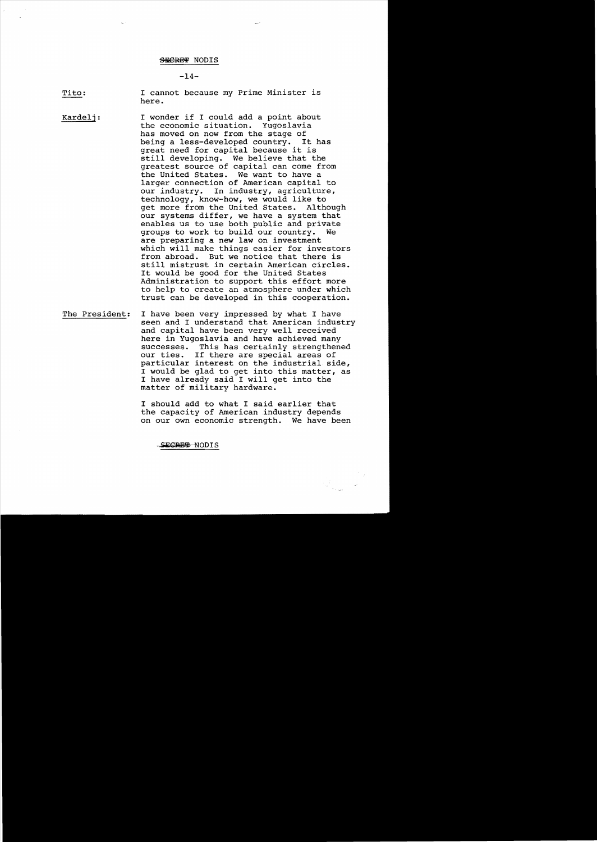$-14-$ 

Tito: I cannot because my Prime Minister is here.

Kardelj: I wonder if I could add a point about<br>the economic situation. Yugoslavia the economic situation. has moved on now from the stage of being a less-developed country. It has great need for capital because it is still developing. We believe that the greatest source of capital can come from the United States. We want to have a larger connection of American capital to our industry. In industry, agriculture, technology, know-how, we would like to get more from the United States. our systems differ, we have a system that enables us to use both public and private<br>groups to work to build our country. We groups to work to build our country. are preparing a new law on investment which will make things easier for investors<br>from abroad. But we notice that there is But we notice that there is still mistrust in certain American circles. It would be good for the United States Administration to support this effort more to help to create an atmosphere under which trust can be developed in this cooperation.

The President: I have been very impressed by what I have seen and I understand that American industry and capital have been very well received here in Yugoslavia and have achieved many successes. This has certainly strengthened our ties. If there are special areas of particular interest on the industrial side, I would be glad to get into this matter, as I have already said I will get into the matter of military hardware.

> I should add to what I said earlier that the capacity of American industry depends on our own economic strength. We have been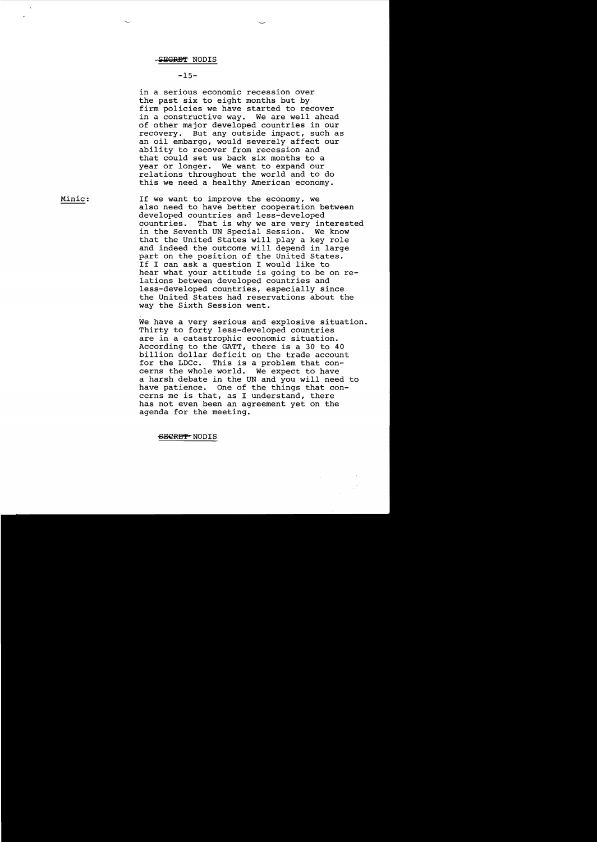## **-15**

in a serious economic recession over the past six to eight months but by firm policies we have started to recover in a constructive way. We are well ahead of other major developed countries in our recovery. But any outside impact, such as an oil embargo, would severely affect our ability to recover from recession and that could set us back six months to a year or longer. We want to expand our relations throughout the world and to do this we need a healthy American economy.

—<br>—

Minic: If we want to improve the economy, we also need to have better cooperation between developed countries and less-developed<br>countries. That is why we are very in That is why we are very interested in the Seventh UN Special Session. We know that the United States will play a key role and indeed the outcome will depend in large part on the position of the United States. If I can ask a question I would like to hear what your attitude is going to be on relations between developed countries and less-developed countries, especially since the United States had reservations about the way the Sixth Session went.

> We have a very serious and explosive situation. Thirty to forty less-developed countries are in a catastrophic economic situation. According to the GATT, there is a 30 to 40 billion dollar deficit on the trade account<br>for the LDCc. This is a problem that con-This is a problem that concerns the whole world. We expect to have a harsh debate in the UN and you will need to have patience. One of the things that concerns me is that, as I understand, there has not even been an agreement yet on the agenda for the meeting.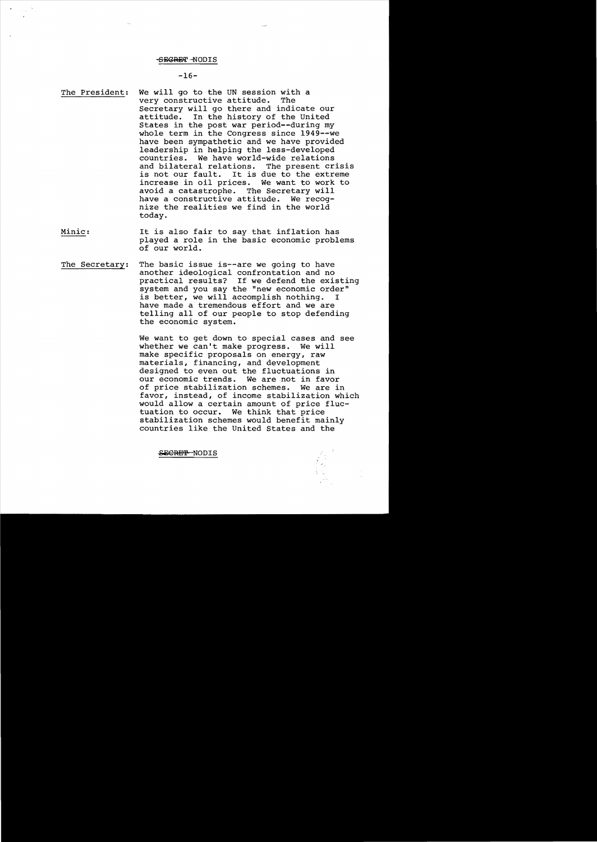## -SEGRET -NODIS

## $-16-$

- The President: We will go to the UN session with a<br>verv constructive attitude. The very constructive attitude. Secretary will go there and indicate our<br>attitude. In the history of the United In the history of the United States in the post war period--during my whole term in the Congress since 1949--we have been sympathetic and we have provided leadership in helping the less-developed countries. We have world-wide relations and bilateral relations.<br>is not our fault. It is It is due to the extreme increase in oil prices. We want to work to avoid a catastrophe. The Secretary will avoid a catastrophe. have a constructive attitude. We recognize the realities we find in the world today.
- Minic: It is also fair to say that inflation has played a role in the basic economic problems of our world.
- The Secretary: The basic issue is--are we going to have another ideological confrontation and no practical results? If we defend the existing system and you say the "new economic order" is better, we will accomplish nothing. I have made a tremendous effort and we are telling all of our people to stop defending the economic system.

We want to get down to special cases and see whether we can't make progress. We will make specific proposals on energy, raw materials, financing, and development designed to even out the fluctuations in<br>our economic trends. We are not in favor our economic trends. of price stabilization schemes. We are in favor, instead, of income stabilization which would allow a certain amount of price fluctuation to occur. We think that price stabilization schemes would benefit mainly countries like the United States and the

SE<del>CRET</del>-NODIS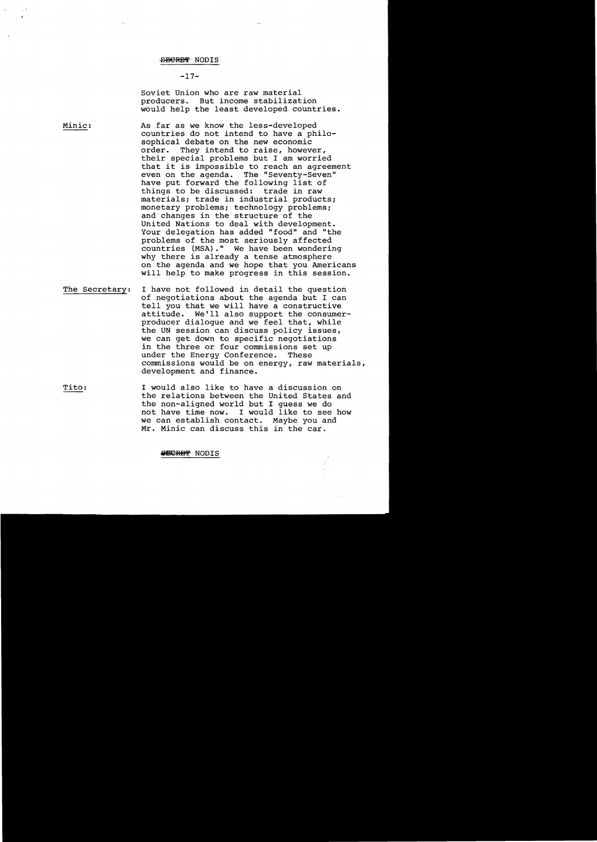## $-17-$

soviet Union who are raw material producers. But income stabilization would help the least developed countries.

Minic: As far as we know the less-developed countries do not intend to have a philosophical debate on the new economic<br>order. They intend to raise, howev They intend to raise, however, their special problems but I am worried that it is impossible to reach an agreement<br>even on the agenda. The "Seventy-Seven" The "Seventy-Seven" have put forward the following list of<br>things to be discussed: trade in raw things to be discussed: materials; trade in industrial products; monetary problems; technology problems; and changes in the structure of the United Nations to deal with development. Your delegation has added "food" and "the problems of the most seriously affected countries (MSA)." We have been wondering why there is already a tense atmosphere on the agenda and we hope that you Americans will help to make progress in this session.

- The Secretary: I have not followed in detail the question of negotiations about the agenda but I can tell you that we will have a constructive attitude. We'll also support the consumerproducer dialogue and we feel that, while the UN session can discuss policy issues, we can get down to specific negotiations in the three or four commissions set up under the Energy Conference. These commissions would be on energy, raw materials, development and finance.
- Tito: I would also like to have a discussion on the relations between the United States and the non-aligned world but I guess we do not have time now. I would like to see how<br>we can establish contact. Maybe you and we can establish contact. Mr. Minic can discuss this in the car.